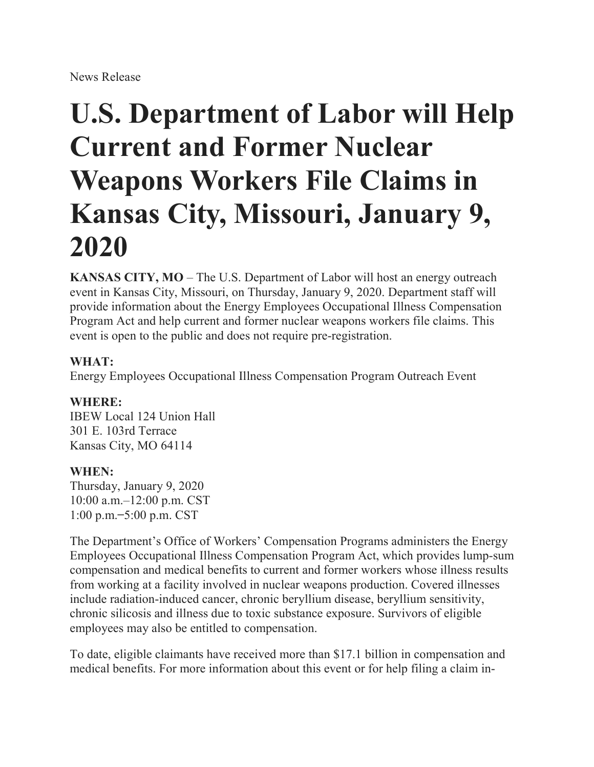## **U.S. Department of Labor will Help Current and Former Nuclear Weapons Workers File Claims in Kansas City, Missouri, January 9, 2020**

**KANSAS CITY, MO** – The U.S. Department of Labor will host an energy outreach event in Kansas City, Missouri, on Thursday, January 9, 2020. Department staff will provide information about the Energy Employees Occupational Illness Compensation Program Act and help current and former nuclear weapons workers file claims. This event is open to the public and does not require pre-registration.

## **WHAT:**

Energy Employees Occupational Illness Compensation Program Outreach Event

## **WHERE:**

IBEW Local 124 Union Hall 301 E. 103rd Terrace Kansas City, MO 64114

## **WHEN:**

Thursday, January 9, 2020 10:00 a.m.–12:00 p.m. CST 1:00 p.m. ̶5:00 p.m. CST

The Department's Office of Workers' Compensation Programs administers the Energy Employees Occupational Illness Compensation Program Act, which provides lump-sum compensation and medical benefits to current and former workers whose illness results from working at a facility involved in nuclear weapons production. Covered illnesses include radiation-induced cancer, chronic beryllium disease, beryllium sensitivity, chronic silicosis and illness due to toxic substance exposure. Survivors of eligible employees may also be entitled to compensation.

To date, eligible claimants have received more than \$17.1 billion in compensation and medical benefits. For more information about this event or for help filing a claim in